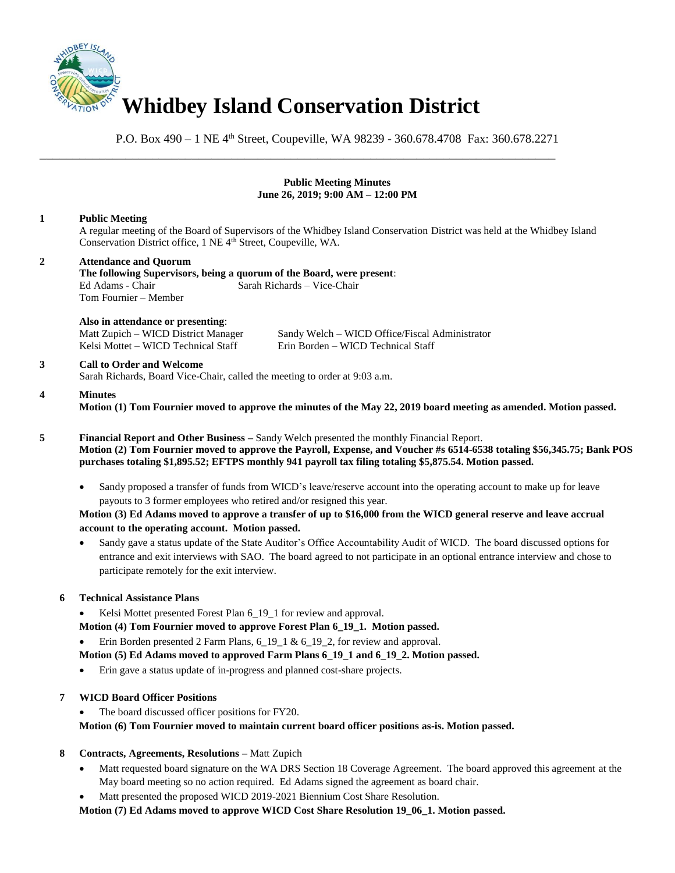

P.O. Box 490 – 1 NE 4<sup>th</sup> Street, Coupeville, WA 98239 - 360.678.4708 Fax: 360.678.2271

\_\_\_\_\_\_\_\_\_\_\_\_\_\_\_\_\_\_\_\_\_\_\_\_\_\_\_\_\_\_\_\_\_\_\_\_\_\_\_\_\_\_\_\_\_\_\_\_\_\_\_\_\_\_\_\_\_\_\_\_\_\_\_\_\_\_\_\_\_\_\_\_\_\_\_\_\_\_

## **Public Meeting Minutes June 26, 2019; 9:00 AM – 12:00 PM**

# **1 Public Meeting**

A regular meeting of the Board of Supervisors of the Whidbey Island Conservation District was held at the Whidbey Island Conservation District office, 1 NE 4<sup>th</sup> Street, Coupeville, WA.

# **2 Attendance and Quorum**

**The following Supervisors, being a quorum of the Board, were present**: Ed Adams - Chair Sarah Richards – Vice-Chair Tom Fournier – Member

#### **Also in attendance or presenting**:

Kelsi Mottet – WICD Technical Staff Erin Borden – WICD Technical Staff

Matt Zupich – WICD District Manager Sandy Welch – WICD Office/Fiscal Administrator

# **3 Call to Order and Welcome**

Sarah Richards, Board Vice-Chair, called the meeting to order at 9:03 a.m.

#### **4 Minutes**

**Motion (1) Tom Fournier moved to approve the minutes of the May 22, 2019 board meeting as amended. Motion passed.** 

**5 Financial Report and Other Business –** Sandy Welch presented the monthly Financial Report. **Motion (2) Tom Fournier moved to approve the Payroll, Expense, and Voucher #s 6514-6538 totaling \$56,345.75; Bank POS purchases totaling \$1,895.52; EFTPS monthly 941 payroll tax filing totaling \$5,875.54. Motion passed.** 

• Sandy proposed a transfer of funds from WICD's leave/reserve account into the operating account to make up for leave payouts to 3 former employees who retired and/or resigned this year.

# **Motion (3) Ed Adams moved to approve a transfer of up to \$16,000 from the WICD general reserve and leave accrual account to the operating account. Motion passed.**

• Sandy gave a status update of the State Auditor's Office Accountability Audit of WICD. The board discussed options for entrance and exit interviews with SAO. The board agreed to not participate in an optional entrance interview and chose to participate remotely for the exit interview.

# **6 Technical Assistance Plans**

- Kelsi Mottet presented Forest Plan 6\_19\_1 for review and approval.
- **Motion (4) Tom Fournier moved to approve Forest Plan 6\_19\_1. Motion passed.**
- Erin Borden presented 2 Farm Plans, 6\_19\_1 & 6\_19\_2, for review and approval.

# **Motion (5) Ed Adams moved to approved Farm Plans 6\_19\_1 and 6\_19\_2. Motion passed.**

• Erin gave a status update of in-progress and planned cost-share projects.

# **7 WICD Board Officer Positions**

The board discussed officer positions for FY20.

**Motion (6) Tom Fournier moved to maintain current board officer positions as-is. Motion passed.**

# **8 Contracts, Agreements, Resolutions –** Matt Zupich

- Matt requested board signature on the WA DRS Section 18 Coverage Agreement. The board approved this agreement at the May board meeting so no action required. Ed Adams signed the agreement as board chair.
- Matt presented the proposed WICD 2019-2021 Biennium Cost Share Resolution.

**Motion (7) Ed Adams moved to approve WICD Cost Share Resolution 19\_06\_1. Motion passed.**